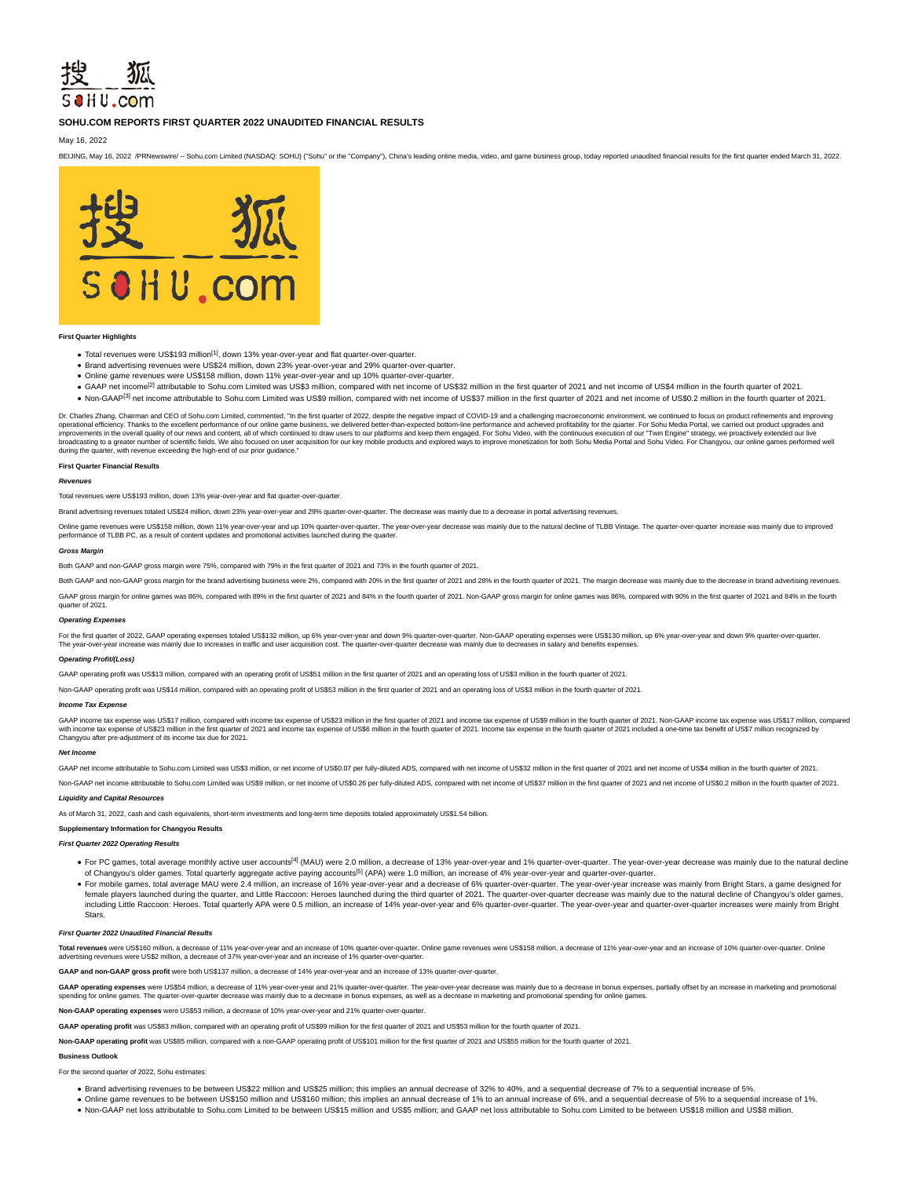

# **SOHU.COM REPORTS FIRST QUARTER 2022 UNAUDITED FINANCIAL RESULTS**

# May 16, 2022

BEIJING, May 16, 2022 /PRNewswire/ -- Sohu.com Limited (NASDAQ: SOHU) ("Sohu" or the "Company"), China's leading online media, video, and game business group, today reported unaudited financial results for the first quarte



#### **First Quarter Highlights**

- Total revenues were US\$193 million<sup>[1]</sup>, down 13% year-over-year and flat quarter-over-quarter.
- Brand advertising revenues were US\$24 million, down 23% year-over-year and 29% quarter-over-quarter.
- Online game revenues were US\$158 million, down 11% year-over-year and up 10% quarter-over-quarter.
- . GAAP net income<sup>[2]</sup> attributable to Sohu.com Limited was US\$3 million, compared with net income of US\$32 million in the first quarter of 2021 and net income of US\$4 million in the fourth quarter of 2021.
- Non-GAAP<sup>[3]</sup> net income attributable to Sohu.com Limited was US\$9 million, compared with net income of US\$37 million in the first quarter of 2021 and net income of US\$0.2 million in the fourth quarter of 2021.

Dr. Charles Zhang, Chairman and CEO of Sohu.com Limited, or unented, "In the first quarter of 2022, despite the negative impact of COVID-19 and a challenging macroeconomic environment, we orntinued to focus on product refi

#### **First Quarter Financial Results**

## **Revenues**

Total revenues were US\$193 million, down 13% year-over-year and flat quarter-over-quarter.

Brand advertising revenues totaled US\$24 million, down 23% year-over-year and 29% quarter-over-quarter. The decrease was mainly due to a decrease in portal advertising revenues.

Online game revenues were US\$158 million, down 11% year-over-year and up 10% quarter-over-quarter. The year-over-year decrease was mainly due to the natural decline of TLBB Vintage. The quarter-over-quarter increase was ma ance of TLBB PC, as a result of content updates and promotional activities launched during the quarter

#### **Gross Margin**

Both GAAP and non-GAAP gross margin were 75%, compared with 79% in the first quarter of 2021 and 73% in the fourth quarter of 2021.

Both GAAP and non-GAAP gross margin for the brand advertising business were 2%, compared with 20% in the first quarter of 2021 and 28% in the fourth quarter of 2021. The margin decrease was mainly due to the decrease in br

GAAP gross margin for online games was 86%, compared with 89% in the first quarter of 2021 and 84% in the fourth quarter of 2021. Non-GAAP gross margin for online games was 86%, compared with 90% in the first quarter of 20 quarter of 2021.

#### **Operating Expense**

For the first quarter of 2022, GAP operating expenses totaled US\$132 million, up 6% year-over-year and down 9% quarter-over-quarter-over-quarter over-quarter Non-GAAP operating expenses were US\$130 million, up 6% year-over

#### **Operating Profit/(Loss)**

GAAP operating profit was US\$13 million, compared with an operating profit of US\$51 million in the first quarter of 2021 and an operating loss of US\$3 million in the fourth quarter of 2021.

Non-GAAP operating profit was US\$14 million, compared with an operating profit of US\$53 million in the first quarter of 2021 and an operating loss of US\$3 million in the fourth quarter of 2021.

#### **Income Tax Expense**

GAAP income tax expense was US\$17 million, compared with income tax expense of US\$23 million in the first quarter of 2021 and income tax expense of US\$9 million, in the fourth quarter of 2021. Non-GAAP income tax expense w with income tax expense of US\$23 million in the first quarter of 2021 and income tax expense of US\$6 million in the fourth quarter of 2021. Income tax expense in the fourth quarter of 2021 included a one-time tax benefit o

#### **Net Income**

GAAP net income attributable to Sobu.com Limited was US\$3 million, or net income of US\$0.07 per fully-diluted ADS, compared with net income of US\$32 million in the first quarter of 2021 and net income of US\$4 million in th

Non-GAAP net income attributable to Sobu com Limited was LISS0 million, or net income of LISS0 26 per fully-diluted ADS, compared with net income of LISS37 million in the first quarter of 2021 and net income of LISS0 2 mil **Liquidity and Capital Resources**

As of March 31, 2022, cash and cash equivalents, short-term investments and long-term time deposits totaled approximately US\$1.54 billion.

#### **Supplementary Information for Changyou Results**

**First Quarter 2022 Operating Results**

- For PC games, total average monthly active user accounts<sup>[4]</sup> (MAU) were 2.0 million, a decrease of 13% year-over-year and 1% quarter-over-quarter. The year-over-year decrease was mainly due to the natural decline of Changyou's older games. Total quarterly aggregate active paying accounts[5] (APA) were 1.0 million, an increase of 4% year-over-year and quarter-over-quarter.
- For mobile games, total average MAU were 2.4 million, an increase of 16% year-over-year and a decrease of 6% quarter-over-quarter. The year-over-year increase was mainly from Bright Stars, a game designed for male players launched during the quarter, and Little Raccoon: Heroes launched during the third quarter of 2021. The quarter-over-quarter decrease was mainly due to the natural decline of Changyou's older games, including Little Raccoon: Heroes. Total quarterly APA were 0.5 million, an increase of 14% year-over-year and 6% quarter-over-quarter. The year-over-year and quarter-over-quarter increases were mainly from Bright Stars.

#### **First Quarter 2022 Unaudited Financial Results**

Total revenues were US\$160 million, a decrease of 11% year-over-year and an increase of 10% quarter-over-quarter. Online game revenues were US\$158 million, a decrease of 11% year-over-year and an increase of 10% quarter-ov advertising revenues were US\$2 million, a decrease of 37% year-over-year and an increase of 1% quarter-over-quarter.

**GAAP and non-GAAP gross profit** were both US\$137 million, a decrease of 14% year-over-year and an increase of 13% quarter-over-quarter.

**GAAP operating expenses** were US\$54 million, a decrease of 11% year-over year and 21% quarter-over-quarter. The year-over year decrease was mainly due to a decrease in marketing and promotional spending for online games.

**Non-GAAP operating expenses** were US\$53 million, a decrease of 10% year-over-year and 21% quarter-over-quarter.

GAAP operating profit was US\$83 million, compared with an operating profit of US\$99 million for the first quarter of 2021 and US\$53 million for the fourth quarter of 2021.

Non-GAAP operating profit was US\$85 million, compared with a non-GAAP operating profit of US\$101 million for the first quarter of 2021 and US\$55 million for the fourth quarter of 2021.

#### **Business Outlook**

For the second quarter of 2022, Sohu estimates:

- Brand advertising revenues to be between US\$22 million and US\$25 million; this implies an annual decrease of 32% to 40%, and a sequential decrease of 7% to a sequential increase of 5%.
- . Online game revenues to be between US\$150 million and US\$160 million; this implies an annual decrease of 1% to an annual increase of 6%, and a sequential decrease of 5% to a sequential increase of 1%. . Non-GAAP net loss attributable to Sohu.com Limited to be between US\$15 million and US\$5 million; and GAAP net loss attributable to Sohu.com Limited to be between US\$18 million and US\$8 million.
-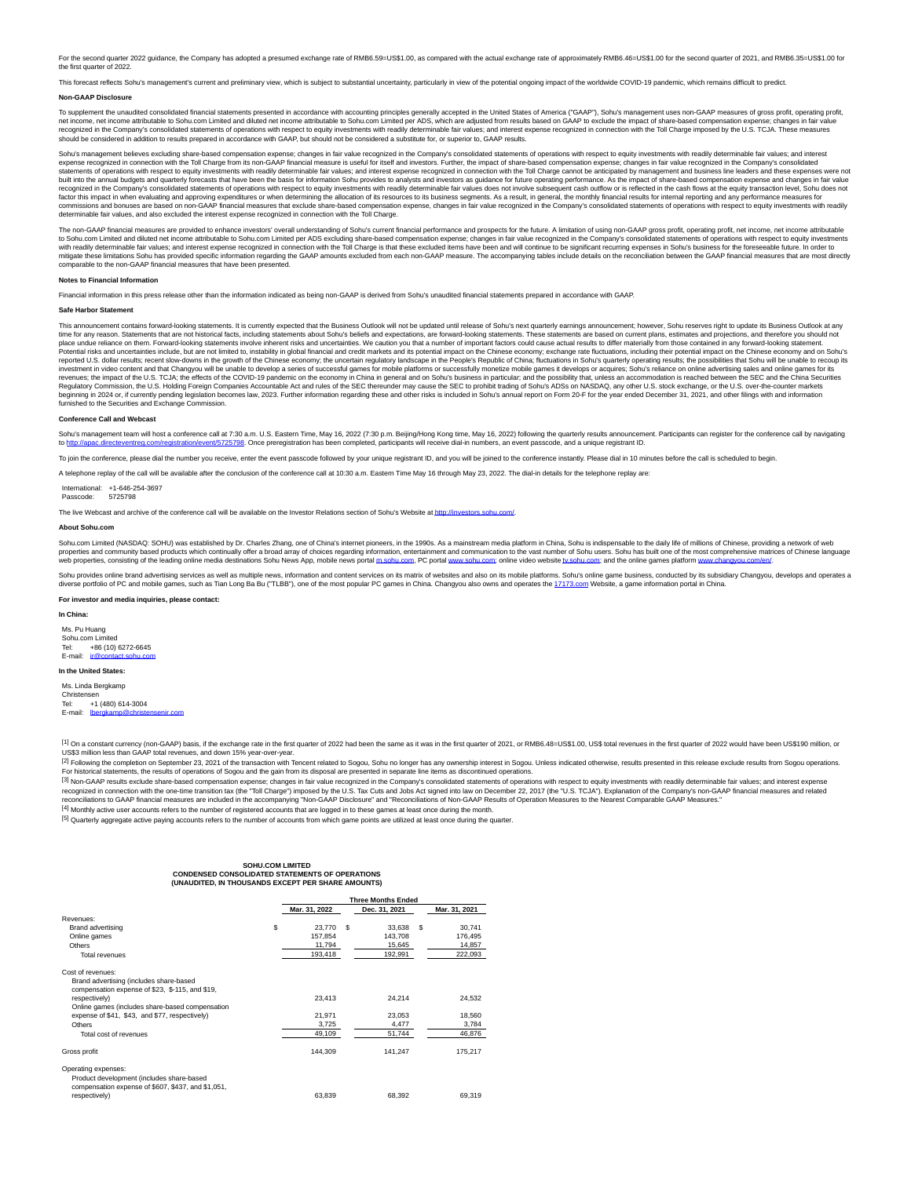For the second quarter 2022 guidance, the Company has adopted a presumed exchange rate of RMB6.59=US\$1.00, as compared with the actual exchange rate of approximately RMB6.46=US\$1.00 for the second quarter of 2021, and RMB6

This forecast reflects Sohu's management's current and preliminary view, which is subject to substantial uncertainty, particularly in view of the potential ongoing impact of the worldwide COVID-19 pandemic, which remains d

#### **Non-GAAP Disclosure**

To supplement the unaudited consolidated financial statements presented in accordance with accounting principles generally accepted in the United States of America ("GAAP"), Sohu's management uses non-GAAP measures of gros

nt believes excluding share-based compensation expense; changes in fair value recognized in the Company's consolidated statements of operations with respect to equity investments with readily determi expense recognized in connection with the Toll Charge from its non-GAAP financial measure is useful for itsell and investors. Further, the impact of share-based compensation expense; changes in tail value recognized in the statements of operations with respect to equity investments with readily determinable fair values; and interest expense recognized in connection with the Toll Charge cannot be anticipated by management and business line le commissions and bonuses are based on non-GAAP financial measures that exclude share-based compensation expense. changes in fair value recognized in the Company's consolidated statements of operations with respect to equity determinable fair values, and also excluded the interest expense recognized in connection with the Toll Charge.

The non-GAAP financial measures are provided to enhance investors' overall understanding of Sohu's current financial performance and prospects for the future. A limitation of using non-GAAP gross profit, operating profit, comparable to the non-GAAP financial measures that have been presented.

#### **Notes to Financial Information**

Financial information in this press release other than the information indicated as being non-GAAP is derived from Sohu's unaudited financial statements prepared in accordance with GAAP.

# **Safe Harbor Statement**

This announcement contains forward-looking statements. It is currently expected that the Business Outlook will not be updated until release of Sohu's para frame instomatement, however, Sohu research and the effects out sho place undue reliance on them. Forward-looking statements involve inherent risks and uncertainties. We caution you that a number of important factors could cause actual results to differ materially from those contained in a

#### **Conference Call and Webcast**

Sohu's management team will host a conference call at 7:30 a.m. U.S. Eastem Time, May 16, 2022 (7:30 p.m. Beijing/Hong Kong time, May 16; 2022) following the quarterly results announcement. Participants can register for th

To join the conference, please dial the number you receive, enter the event passcode followed by your unique registrant ID, and you will be joined to the conference instantly. Please dial in 10 minutes before the call is s

A telephone replay of the call will be available after the conclusion of the conference call at 10:30 a.m. Eastern Time May 16 through May 23, 2022. The dial-in details for the telephone replay are:

# International: +1-646-254-3697 Passcode: 5725798

The live Webcast and archive of the conference call will be available on the Investor Relations section of Sohu's Website a[t http://investors.sohu.com/.](http://investors.sohu.com/)

#### **About Sohu.com**

Sohu.com Limited (NASDAQ: SOHU) was established by Dr. Charles Zhang, one of China's internet pioneers, in the 1990s. As a mainstream media platform in China, Sohu is indispensable to the daily life of millions of Chinese, properties and community based products which continually offer a broad array of choices regarding information, entertainment and communication to the vast number of Schin users. Sohu has build as build be not a few or the

Sohu provides online brand advertising services as well as multiple news, information and content services on its matrix of websites and also on its mobile platforms. Sohu's online game information portal in Chalgyou, by i

## **For investor and media inquiries, please contact:**

## **In China:**

Ms. Pu Huang Sohu.com Limited Tel: +86 (10) 6272-6645 rer: +86<br>E-mail: **ir@** 

## **In the United States:**

Ms. Linda Bergkamp Christensen Tel: +1 (480) 614-3004 Tel. +<br>E-mail: l**k** 

[1] On a constant currency (non-GAAP) basis, if the exchange rate in the first quarter of 2022 had been the same as it was in the first quarter of 2021, or RMB6.48=US\$1.00, US\$ total revenues in the first quarter of 2022 w

US\$3 million less than GAAP total revenues, and down 15% year-over-year.<br><sup>[2]</sup> Following the completion on September 23, 2021 of the transaction with Tencent related to Sogou, Sohu no longer has any ownership interest in S For historical statements, the results of operations of Sogou and the gain from its disposal are presented in separate line items as discontinued operations.

[3] Non-GAAP results exclude share-based compensation expense; changes in fair value recognized in the Company's consolidated statements of operations with respect to equity investments with readily determinable fair value recognized in connection with the one-time transition tax (the "Toll Charge') imposed by the U.S. Tax Cuts and slobs Act Signed into law on December 22, 2017 (the "U.S. TCJA"). Explanation of the accompanying "Non-GAAP and [4] Monthly active user accounts refers to the number of registered accounts that are logged in to these games at least once during the month.

[5] Quarterly aggregate active paying accounts refers to the number of accounts from which game points are utilized at least once during the q

# **SOHU.COM LIMITED CONDENSED CONSOLIDATED STATEMENTS OF OPERATIONS (UNAUDITED, IN THOUSANDS EXCEPT PER SHARE AMOUNTS)**

|                                                    | <b>Three Months Ended</b> |    |               |    |               |  |  |
|----------------------------------------------------|---------------------------|----|---------------|----|---------------|--|--|
|                                                    | Mar. 31, 2022             |    | Dec. 31, 2021 |    | Mar. 31, 2021 |  |  |
| Revenues:                                          |                           |    |               |    |               |  |  |
| Brand advertising                                  | \$<br>23,770              | Ŝ. | 33.638        | \$ | 30.741        |  |  |
| Online games                                       | 157,854                   |    | 143.708       |    | 176,495       |  |  |
| Others                                             | 11,794                    |    | 15,645        |    | 14,857        |  |  |
| Total revenues                                     | 193,418                   |    | 192,991       |    | 222,093       |  |  |
| Cost of revenues:                                  |                           |    |               |    |               |  |  |
| Brand advertising (includes share-based            |                           |    |               |    |               |  |  |
| compensation expense of \$23, \$-115, and \$19,    |                           |    |               |    |               |  |  |
| respectively)                                      | 23,413                    |    | 24.214        |    | 24,532        |  |  |
| Online games (includes share-based compensation    |                           |    |               |    |               |  |  |
| expense of \$41, \$43, and \$77, respectively)     | 21,971                    |    | 23,053        |    | 18,560        |  |  |
| Others                                             | 3,725                     |    | 4,477         |    | 3,784         |  |  |
| Total cost of revenues                             | 49,109                    |    | 51,744        |    | 46,876        |  |  |
| Gross profit                                       | 144,309                   |    | 141.247       |    | 175.217       |  |  |
| Operating expenses:                                |                           |    |               |    |               |  |  |
| Product development (includes share-based          |                           |    |               |    |               |  |  |
| compensation expense of \$607, \$437, and \$1,051, |                           |    |               |    |               |  |  |
| respectively)                                      | 63.839                    |    | 68.392        |    | 69.319        |  |  |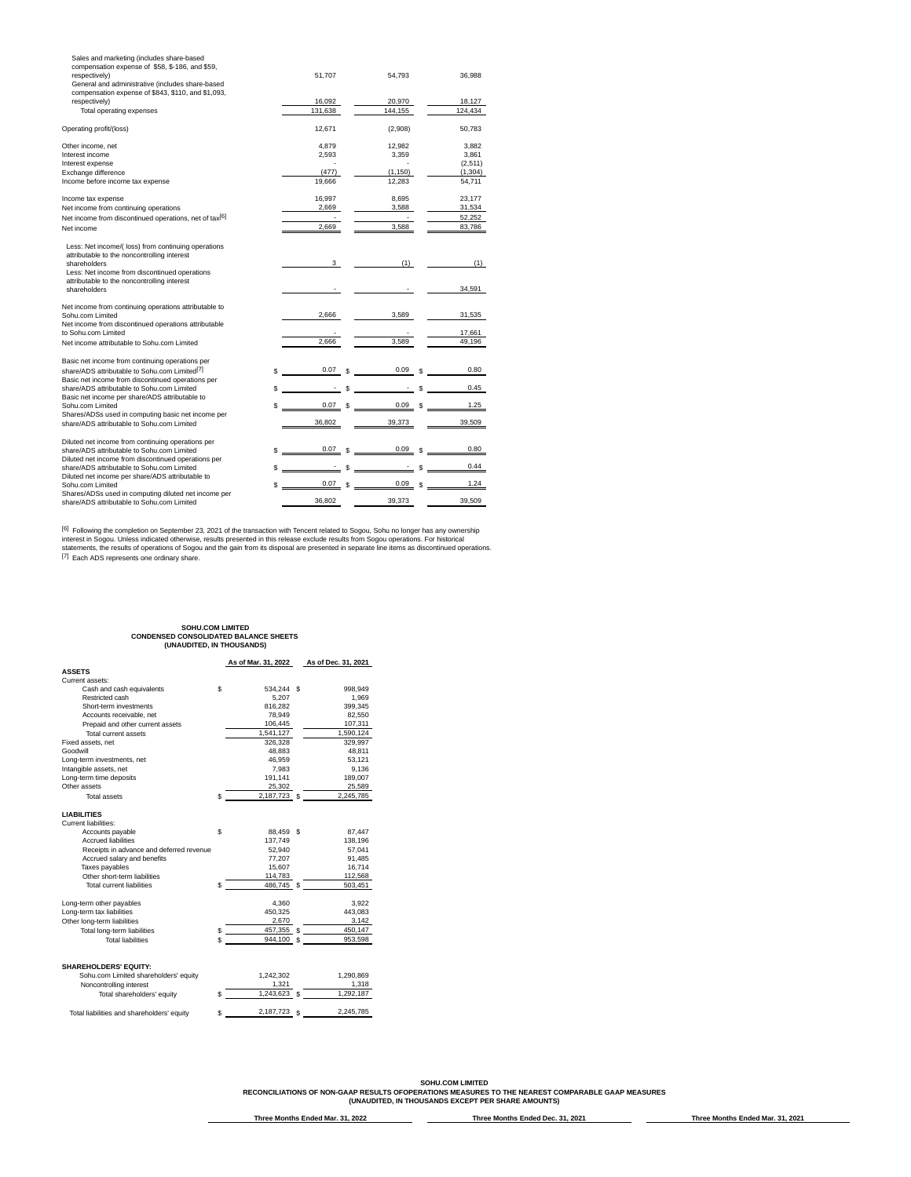| General and administrative (includes share-based<br>compensation expense of \$843, \$110, and \$1,093,<br>16.092<br>20,970<br>respectively)<br>131.638<br>144.155<br>Total operating expenses<br>12.671<br>Operating profit/(loss)<br>(2,908) | 18.127<br>124,434<br>50,783<br>3,882<br>3,861<br>(2, 511)<br>(1, 304)<br>54,711<br>23,177 |
|-----------------------------------------------------------------------------------------------------------------------------------------------------------------------------------------------------------------------------------------------|-------------------------------------------------------------------------------------------|
|                                                                                                                                                                                                                                               |                                                                                           |
|                                                                                                                                                                                                                                               |                                                                                           |
|                                                                                                                                                                                                                                               |                                                                                           |
|                                                                                                                                                                                                                                               |                                                                                           |
|                                                                                                                                                                                                                                               |                                                                                           |
| 4,879<br>Other income, net<br>12,982                                                                                                                                                                                                          |                                                                                           |
| Interest income<br>2,593<br>3,359                                                                                                                                                                                                             |                                                                                           |
| Interest expense                                                                                                                                                                                                                              |                                                                                           |
| (477)<br>(1, 150)<br>Exchange difference                                                                                                                                                                                                      |                                                                                           |
| 19,666<br>Income before income tax expense<br>12.283                                                                                                                                                                                          |                                                                                           |
| 16,997<br>8,695<br>Income tax expense                                                                                                                                                                                                         |                                                                                           |
| 2,669<br>3,588<br>Net income from continuing operations                                                                                                                                                                                       | 31,534                                                                                    |
| Net income from discontinued operations, net of tax <sup>[6]</sup>                                                                                                                                                                            | 52,252                                                                                    |
| 2.669<br>3,588<br>Net income                                                                                                                                                                                                                  | 83,786                                                                                    |
| Less: Net income/(loss) from continuing operations<br>attributable to the noncontrolling interest<br>3<br>(1)                                                                                                                                 | (1)                                                                                       |
| shareholders<br>Less: Net income from discontinued operations                                                                                                                                                                                 |                                                                                           |
| attributable to the noncontrolling interest<br>shareholders                                                                                                                                                                                   | 34,591                                                                                    |
| Net income from continuing operations attributable to<br>2.666<br>3.589<br>Sohu.com Limited                                                                                                                                                   | 31,535                                                                                    |
| Net income from discontinued operations attributable<br>to Sohu.com Limited                                                                                                                                                                   | 17,661                                                                                    |
| 2.666<br>3.589<br>Net income attributable to Sohu.com Limited                                                                                                                                                                                 | 49,196                                                                                    |
| Basic net income from continuing operations per                                                                                                                                                                                               |                                                                                           |
| 0.09<br>0.07<br>share/ADS attributable to Sohu.com Limited <sup>[7]</sup><br>\$<br>S                                                                                                                                                          | 0.80                                                                                      |
| Basic net income from discontinued operations per                                                                                                                                                                                             |                                                                                           |
| share/ADS attributable to Sohu.com Limited                                                                                                                                                                                                    | 0.45                                                                                      |
| Basic net income per share/ADS attributable to                                                                                                                                                                                                |                                                                                           |
| 0.07<br>0.09<br>Ś<br>Sohu.com Limited<br>S                                                                                                                                                                                                    | 1.25                                                                                      |
| Shares/ADSs used in computing basic net income per<br>36,802<br>39,373                                                                                                                                                                        | 39,509                                                                                    |
| share/ADS attributable to Sobu.com Limited                                                                                                                                                                                                    |                                                                                           |
| Diluted net income from continuing operations per                                                                                                                                                                                             |                                                                                           |
| 0.09<br>0.07<br>\$.<br>\$<br>share/ADS attributable to Sohu.com Limited<br>S                                                                                                                                                                  | 0.80                                                                                      |
| Diluted net income from discontinued operations per                                                                                                                                                                                           | 0.44                                                                                      |
| share/ADS attributable to Sohu.com Limited<br>\$<br>S<br>s                                                                                                                                                                                    |                                                                                           |
| Diluted net income per share/ADS attributable to<br>0.09<br>0.07<br>S<br>Sohu.com Limited                                                                                                                                                     | 1.24                                                                                      |
| Shares/ADSs used in computing diluted net income per<br>36.802<br>39.373<br>share/ADS attributable to Sohu.com Limited                                                                                                                        | 39.509                                                                                    |

<sup>[6]</sup> Following the completion on September 23, 2021 of the transaction with Tencent related to Sogou, Sohu no longer has any ownership<br>interest in Sogou. Unless indicated otherwise, results presented in this release exclu

# SOHU.COM LIMITED<br>CONDENSED CONSOLIDATED BALANCE SHEETS<br>(UNAUDITED, IN THOUSANDS)

|                                            |   | As of Mar. 31, 2022 |    | As of Dec. 31, 2021 |
|--------------------------------------------|---|---------------------|----|---------------------|
| <b>ASSETS</b>                              |   |                     |    |                     |
| Current assets:                            |   |                     |    |                     |
| Cash and cash equivalents                  | S | 534,244 \$          |    | 998,949             |
| Restricted cash                            |   | 5,207               |    | 1,969               |
| Short-term investments                     |   | 816.282             |    | 399.345             |
| Accounts receivable, net                   |   | 78,949              |    | 82,550              |
| Prepaid and other current assets           |   | 106,445             |    | 107,311             |
| Total current assets                       |   | 1.541.127           |    | 1.590.124           |
| Fixed assets, net                          |   | 326.328             |    | 329.997             |
| Goodwill                                   |   | 48.883              |    | 48.811              |
| Long-term investments, net                 |   | 46.959              |    | 53.121              |
| Intangible assets, net                     |   | 7.983               |    | 9.136               |
| Long-term time deposits                    |   | 191,141             |    | 189,007             |
| Other assets                               |   | 25,302              |    | 25,589              |
| Total assets                               |   | 2,187,723 \$        |    | 2,245,785           |
|                                            |   |                     |    |                     |
| <b>LIABILITIES</b>                         |   |                     |    |                     |
| Current liabilities:                       |   |                     |    |                     |
| Accounts payable                           | S | 88,459 \$           |    | 87,447              |
| <b>Accrued liabilities</b>                 |   | 137.749             |    | 138.196             |
| Receipts in advance and deferred revenue   |   | 52,940              |    | 57,041              |
| Accrued salary and benefits                |   | 77,207              |    | 91,485              |
| Taxes payables                             |   | 15,607              |    | 16,714              |
| Other short-term liabilities               |   | 114,783             |    | 112,568             |
| Total current liabilities                  | S | 486,745             |    | 503,451             |
|                                            |   |                     |    |                     |
| Long-term other payables                   |   | 4.360               |    | 3.922               |
| Long-term tax liabilities                  |   | 450.325             |    | 443.083             |
| Other long-term liabilities                |   | 2,670               |    | 3,142               |
| Total long-term liabilities                | S | 457,355             | S  | 450,147             |
| <b>Total liabilities</b>                   |   | 944.100             |    | 953.598             |
|                                            |   |                     |    |                     |
| <b>SHAREHOLDERS' EQUITY:</b>               |   |                     |    |                     |
| Sohu.com Limited shareholders' equity      |   | 1,242,302           |    | 1,290,869           |
| Noncontrolling interest                    |   | 1.321               |    | 1,318               |
| Total shareholders' equity                 | Ś | 1,243,623 \$        |    | 1,292,187           |
|                                            |   |                     |    |                     |
| Total liabilities and shareholders' equity |   | 2,187,723           | \$ | 2,245,785           |

SOHU.COM LIMITED<br>RECONCILIATIONS OF NON-GAAP RESULTS OFOPERATIONS MEASURES TO THE NEAREST COMPARABLE GAAP MEASURES<br>(UNAUDITED, IN THOUSANDS EXCEPT PER SHARE AMOUNTS)